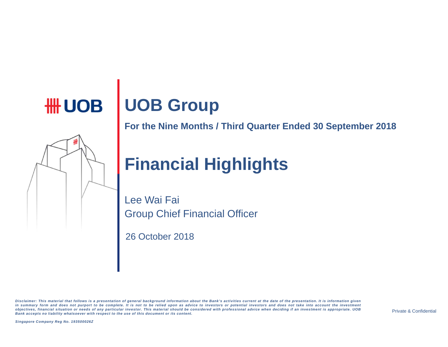# **HH UOB OOB Group**

**For the Nine Months / Third Quarter Ended 30 September 2018** 

# **Financial Highlights**

Lee Wai Fai Group Chief Financial Officer

26 October 2018

Disclaimer: This material that follows is a presentation of general background information about the Bank's activities current at the date of the presentation. It is information given in summary form and does not purport to be complete. It is not to be relied upon as advice to investors or potential investors and does not take into account the investment objectives, financial situation or needs of any particular investor. This material should be considered with professional advice when deciding if an investment is appropriate. UOB Bank accepts no liability whatsoever with respect to the use of this document or its content.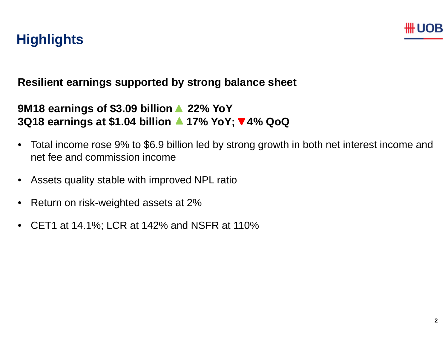

### **Highlights**

#### **Resilient earnings supported by strong balance sheet**

#### **9M18 earnings of \$3.09 billion 22% YoY 3Q18 earnings at \$1.04 billion 17% YoY; 4% QoQ**

- Total income rose 9% to \$6.9 billion led by strong growth in both net interest income and net fee and commission income
- •Assets quality stable with improved NPL ratio
- •Return on risk-weighted assets at 2%
- •CET1 at 14.1%; LCR at 142% and NSFR at 110%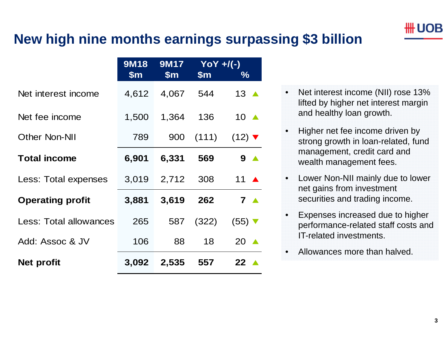

#### **New high nine months earnings surpassing \$3 billion**

|                         | <b>9M18</b>   | <b>9M17</b>   | $YOY + / (-)$ |                             |
|-------------------------|---------------|---------------|---------------|-----------------------------|
|                         | $\mathsf{Sm}$ | $\mathsf{Sm}$ | $\mathsf{Sm}$ | $\%$                        |
| Net interest income     | 4,612         | 4,067         | 544           | 13 $\triangle$              |
| Net fee income          | 1,500         | 1,364         | 136           | 10 $\triangle$              |
| <b>Other Non-NII</b>    | 789           | 900           | (111)         | $(12)$ $\blacktriangledown$ |
| <b>Total income</b>     | 6,901         | 6,331         | 569           | 9 A                         |
| Less: Total expenses    | 3,019         | 2,712         | 308           | 11 $\triangle$              |
| <b>Operating profit</b> | 3,881         | 3,619         | 262           | $7 \triangle$               |
| Less: Total allowances  | 265           | 587           | (322)         | $(55)$ $\blacktriangledown$ |
| Add: Assoc & JV         | 106           | 88            | 18            | 20<br>$\blacktriangle$      |
| Net profit              | 3,092         | 2,535         | 557           | 22 $\blacktriangle$         |

- • Net interest income (NII) rose 13% lifted by higher net interest margin and healthy loan growth.
- • Higher net fee income driven by strong growth in loan-related, fund management, credit card and wealth management fees.
- • Lower Non-NII mainly due to lower net gains from investment securities and trading income.
- • Expenses increased due to higher performance-related staff costs and IT-related investments.
- •Allowances more than halved.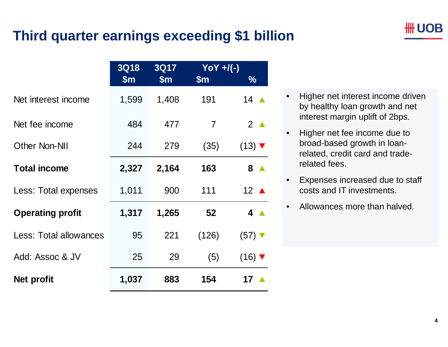#### **Third quarter earnings exceeding \$1 billion**

|                               | <b>3Q18</b><br><b>3Q17</b> |               | $YOY + / (-)$  |                             |
|-------------------------------|----------------------------|---------------|----------------|-----------------------------|
|                               | $\mathsf{Sm}$              | $\mathsf{Sm}$ | $\mathsf{Sm}$  | $\frac{1}{2}$               |
| Net interest income           | 1,599                      | 1,408         | 191            | 14 $\triangle$              |
| Net fee income                | 484                        | 477           | $\overline{7}$ | $2^{\triangle}$             |
| <b>Other Non-NII</b>          | 244                        | 279           | (35)           | $(13)$ $\blacktriangledown$ |
| <b>Total income</b>           | 2,327                      | 2,164         | 163            | 8 <sub>A</sub>              |
| Less: Total expenses          | 1,011                      | 900           | 111            | 12 $\triangle$              |
| <b>Operating profit</b>       | 1,317                      | 1,265         | 52             | $4 \triangle$               |
| <b>Less: Total allowances</b> | 95                         | 221           | (126)          | $(57)$ V                    |
| Add: Assoc & JV               | 25                         | 29            | (5)            | $(16)$ $\blacktriangledown$ |
| Net profit                    | 1,037                      | 883           | 154            | 17 ▲                        |

- • Higher net interest income driven by healthy loan growth and net interest margin uplift of 2bps.
- • Higher net fee income due to broad-based growth in loanrelated, credit card and traderelated fees.
- • Expenses increased due to staff costs and IT investments.
- •Allowances more than halved.

## UOB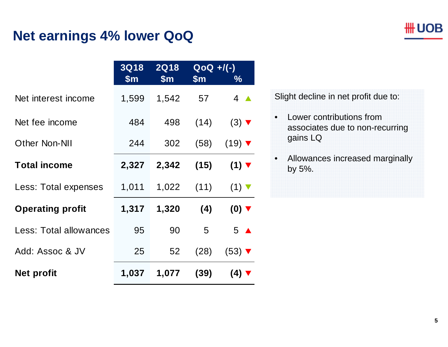#### **Net earnings 4% lower QoQ**

|                         | <b>3Q18</b><br>$\mathsf{S}$ m | <b>2Q18</b><br>$\mathsf{S}$ m | $QoQ +/(-)$<br>$\mathsf{Sm}$ | $\frac{0}{0}$               |
|-------------------------|-------------------------------|-------------------------------|------------------------------|-----------------------------|
| Net interest income     | 1,599                         | 1,542                         | 57                           | $4 \triangle$               |
| Net fee income          | 484                           | 498                           | (14)                         | $(3)$ $\blacktriangledown$  |
| <b>Other Non-NII</b>    | 244                           | 302                           | (58)                         | $(19)$ $\blacktriangledown$ |
| <b>Total income</b>     | 2,327                         | 2,342                         | (15)                         | $(1)$ $\blacktriangledown$  |
| Less: Total expenses    | 1,011                         | 1,022                         | (11)                         | $(1)$ $\blacktriangledown$  |
| <b>Operating profit</b> | 1,317                         | 1,320                         | (4)                          | $(0)$ $\blacktriangledown$  |
| Less: Total allowances  | 95                            | 90                            | 5                            | $5 \triangle$               |
| Add: Assoc & JV         | 25                            | 52                            | (28)                         | $(53)$ $\blacktriangledown$ |
| <b>Net profit</b>       | 1,037                         | 1,077                         | (39)                         | $(4)$ $\blacktriangledown$  |

Slight decline in net profit due to:

- • Lower contributions from associates due to non-recurring gains LQ
- $\bullet$  Allowances increased marginally by 5%.

**\#UOB**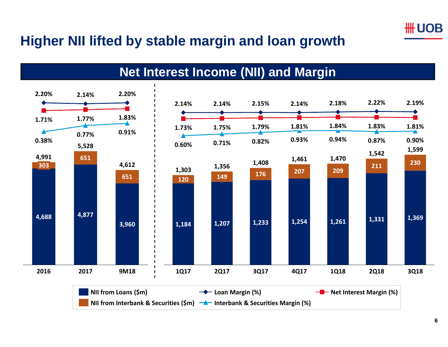

#### **Higher NII lifted by stable margin and loan growth**

**Net Interest Income (NII) and Margin**

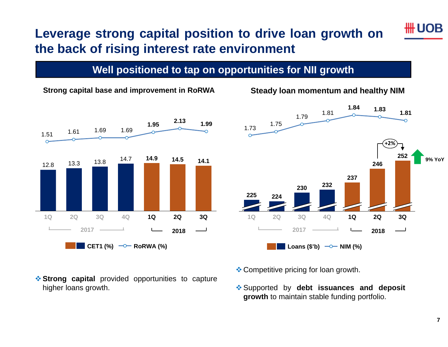#### **Leverage strong capital position to drive loan growth on the back of rising interest rate environment**

#### **Well positioned to tap on opportunities for NII growth**



#### **Strong capital base and improvement in RoRWA Steady loan momentum and healthy NIM**



- **Strong capital** provided opportunities to capture higher loans growth.
- **Exercise** Competitive pricing for loan growth.
- Supported by **debt issuances and deposit growth** to maintain stable funding portfolio.

## UOB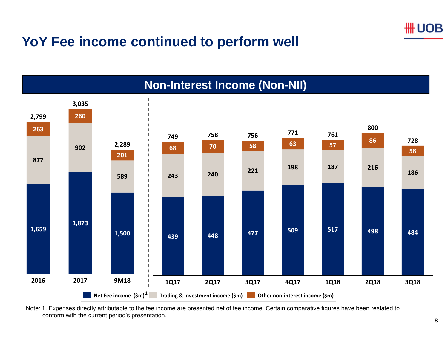

#### **YoY Fee income continued to perform well**



Note: 1. Expenses directly attributable to the fee income are presented net of fee income. Certain comparative figures have been restated to conform with the current period's presentation.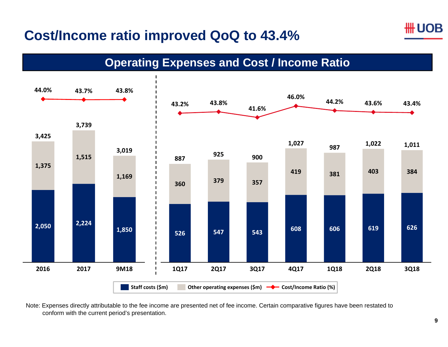#### ## UOB

# **Cost/Income ratio improved QoQ to 43.4%**

**Operating Expenses and Cost / Income Ratio**



Note: Expenses directly attributable to the fee income are presented net of fee income. Certain comparative figures have been restated to conform with the current period's presentation.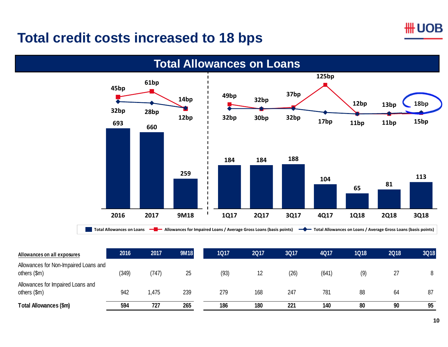#### **HH UOB**

#### **Total credit costs increased to 18 bps**



| Allowances on all exposures                           | 2016  | 2017  | <b>9M18</b> | <b>1Q17</b> | <b>2Q17</b> | <b>3Q17</b> | <b>4Q17</b> | <b>1Q18</b> | <b>2Q18</b> | 3Q18 |
|-------------------------------------------------------|-------|-------|-------------|-------------|-------------|-------------|-------------|-------------|-------------|------|
| Allowances for Non-Impaired Loans and<br>others (\$m) | (349) | (747) | 25          | (93)        | 12          | (26)        | (641)       | (9)         | 27          | 8    |
| Allowances for Impaired Loans and<br>others (\$m)     | 942   | ,475  | 239         | 279         | 168         | 247         | 781         | 88          | 64          | 87   |
| Total Allowances (\$m)                                | 594   | 727   | 265         | 186         | 180         | 221         | 140         | 80          | 90          | 95   |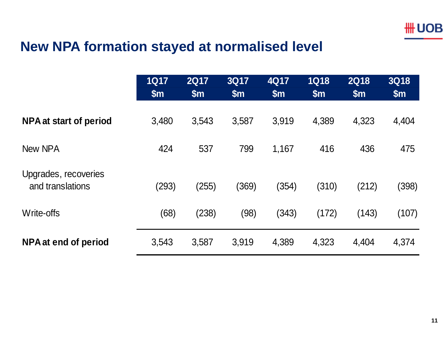#### **New NPA formation stayed at normalised level**

|                                          | <b>1Q17</b><br>\$m\$ | <b>2Q17</b><br>$\mathsf{Sm}$ | <b>3Q17</b><br>\$m\$ | 4Q17<br>\$m\$ | <b>1Q18</b><br>\$m\$ | <b>2Q18</b><br>\$m\$ | <b>3Q18</b><br>\$m\$ |
|------------------------------------------|----------------------|------------------------------|----------------------|---------------|----------------------|----------------------|----------------------|
| NPA at start of period                   | 3,480                | 3,543                        | 3,587                | 3,919         | 4,389                | 4,323                | 4,404                |
| New NPA                                  | 424                  | 537                          | 799                  | 1,167         | 416                  | 436                  | 475                  |
| Upgrades, recoveries<br>and translations | (293)                | (255)                        | (369)                | (354)         | (310)                | (212)                | (398)                |
| Write-offs                               | (68)                 | (238)                        | (98)                 | (343)         | (172)                | (143)                | (107)                |
| NPA at end of period                     | 3,543                | 3,587                        | 3,919                | 4,389         | 4,323                | 4,404                | 4,374                |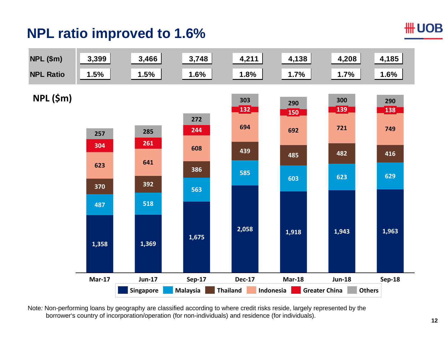# **NPL ratio improved to 1.6%**

#### **HH UOB**



Note*:* Non-performing loans by geography are classified according to where credit risks reside, largely represented by the borrower's country of incorporation/operation (for non-individuals) and residence (for individuals).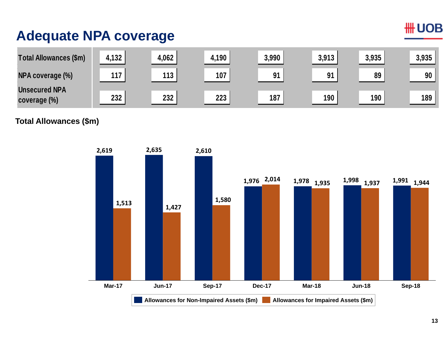### **Adequate NPA coverage**

| Total Allowances (\$m)               | 4,132 | 4,062 | 4,190 | 3,990 | 3,913 | 3,935 | 3,935 |
|--------------------------------------|-------|-------|-------|-------|-------|-------|-------|
| NPA coverage (%)                     | 117   | 113   | 107   | 91    | 91    | 89    | 90    |
| <b>Unsecured NPA</b><br>coverage (%) | 232   | 232   | 223   | 187   | 190   | 190   | 189   |

**Total Allowances (\$m)**



#### **HH UOB**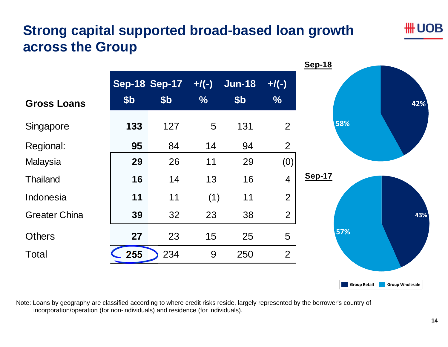# **Strong capital supported broad-based loan growth across the Group**

## UOB

|                      |                 |                                         |                           |                                  |                          | <b>Sep-18</b> |     |
|----------------------|-----------------|-----------------------------------------|---------------------------|----------------------------------|--------------------------|---------------|-----|
| <b>Gross Loans</b>   | \$ <sub>b</sub> | <b>Sep-18 Sep-17</b><br>\$ <sub>b</sub> | $+$ /(-)<br>$\frac{0}{6}$ | <b>Jun-18</b><br>\$ <sub>b</sub> | $+/(-)$<br>$\frac{0}{0}$ |               | 42% |
| Singapore            | 133             | 127                                     | 5                         | 131                              | $\overline{2}$           | 58%           |     |
| Regional:            | 95              | 84                                      | 14                        | 94                               | $\overline{2}$           |               |     |
| Malaysia             | 29              | 26                                      | 11                        | 29                               | (0)                      |               |     |
| <b>Thailand</b>      | 16              | 14                                      | 13                        | 16                               | $\overline{4}$           | <b>Sep-17</b> |     |
| Indonesia            | 11              | 11                                      | (1)                       | 11                               | $\overline{2}$           |               |     |
| <b>Greater China</b> | 39              | 32                                      | 23                        | 38                               | $\overline{2}$           |               | 43% |
| <b>Others</b>        | 27              | 23                                      | 15                        | 25                               | 5                        | 57%           |     |
| <b>Total</b>         | 255             | 234                                     | 9                         | 250                              | $\overline{2}$           |               |     |
|                      |                 |                                         |                           |                                  |                          |               |     |

Note: Loans by geography are classified according to where credit risks reside, largely represented by the borrower's country of incorporation/operation (for non-individuals) and residence (for individuals).

**Group Retail Group Wholesale**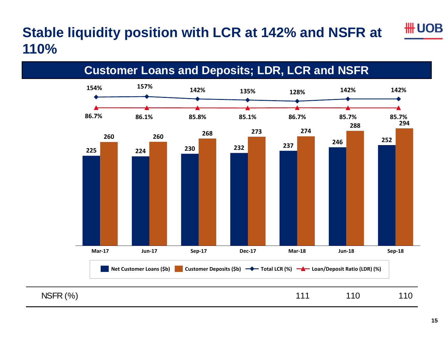### **Stable liquidity position with LCR at 142% and NSFR at 110%**

**Customer Loans and Deposits; LDR, LCR and NSFR**

**135%86.1% 85.8% 85.7% 154%86.7%142% 157% 142% 85.1%128%86.7%142%85.7%225 224 <sup>230</sup> <sup>232</sup> <sup>237</sup> <sup>246</sup> <sup>252</sup> <sup>260</sup> <sup>260</sup> <sup>268</sup> <sup>273</sup> <sup>274</sup> 288 <sup>294</sup>** Mar-17 Jun-17 Sep-17 Dec-17 Mar-18 Jun-18 Sep-18 **Net Customer Loans (\$b) Customer Deposits (\$b) Total LCR (%) Loan/Deposit Ratio (LDR) (%)** NSFR (%) 111 110 110

## UOB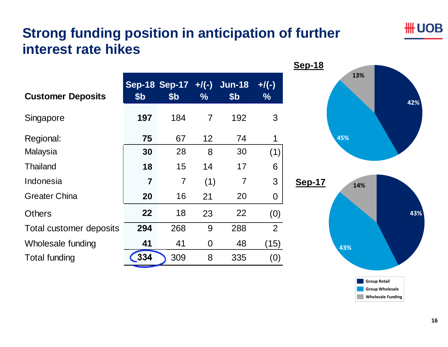# **Strong funding position in anticipation of further interest rate hikes**

|                 |                 |                |                 |                            | <u>טו -טסט</u> |
|-----------------|-----------------|----------------|-----------------|----------------------------|----------------|
| \$ <sub>b</sub> | \$ <sub>b</sub> | $\frac{9}{6}$  | \$ <sub>b</sub> | $+/(-)$<br>$\%$            |                |
| 197             | 184             | $\overline{7}$ | 192             | 3                          |                |
| 75              | 67              | 12             | 74              | 1                          |                |
| 30              | 28              | 8              | 30              | (1)                        |                |
| 18              | 15              | 14             | 17              | 6                          |                |
| 7               | $\overline{7}$  | (1)            | $\overline{7}$  | 3                          | <b>Sep-17</b>  |
| 20              | 16              | 21             | 20              | $\overline{0}$             |                |
| 22              | 18              | 23             | 22              | (0)                        |                |
| 294             | 268             | 9              | 288             | $\overline{2}$             |                |
| 41              | 41              | $\overline{0}$ | 48              | (15)                       |                |
| 334             | 309             | 8              | 335             | $\left( 0\right)$          |                |
|                 |                 |                |                 | Sep-18 Sep-17 +/(-) Jun-18 |                |



**HH UOB**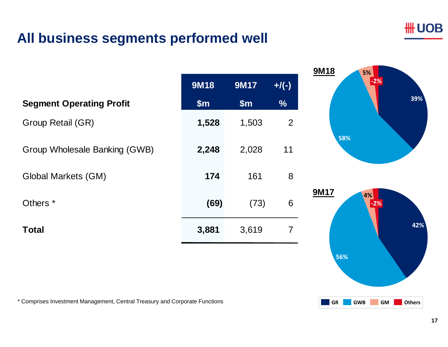#### **\#UOB**

#### **All business segments performed well**

|                                 | <b>9M18</b> | <b>9M17</b> | $+$ /(-)      |
|---------------------------------|-------------|-------------|---------------|
| <b>Segment Operating Profit</b> | \$m\$       | \$m\$       | $\frac{9}{6}$ |
| Group Retail (GR)               | 1,528       | 1,503       | 2             |
| Group Wholesale Banking (GWB)   | 2,248       | 2,028       | 11            |
| Global Markets (GM)             | 174         | 161         | 8             |
| Others <sup>*</sup>             | (69)        | (73)        | 6             |
| <b>Total</b>                    | 3,881       | 3,619       | 7             |
|                                 |             |             |               |

\* Comprises Investment Management, Central Treasury and Corporate Functions



**56%**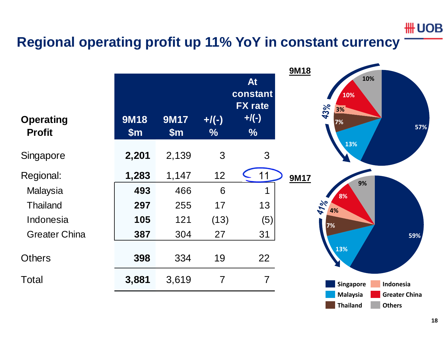#### **HH UOB**

#### **Regional operating profit up 11% YoY in constant currency**

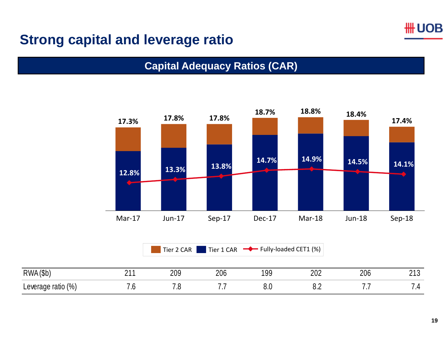

#### **Strong capital and leverage ratio**

#### **Capital Adequacy Ratios (CAR)**



Tier 22 CAR Tier 1 CAR Fully-loaded CET1 (%)

| <b>RWA</b><br>/ሮ৮<br>1 J L               | . . | 209     | 206 | $\sim$ $\sim$<br>ūι<br>ט ו | nnn<br>∠∪∠ | nne<br>∠∪⊾ | $\mathcal{L}$<br>ں اے |
|------------------------------------------|-----|---------|-----|----------------------------|------------|------------|-----------------------|
| $\frac{10}{6}$<br>Leverage<br>ratio<br>ີ | .v  | -<br>ں. | .   | v.v                        | ◡.←        | .          | -<br>. .              |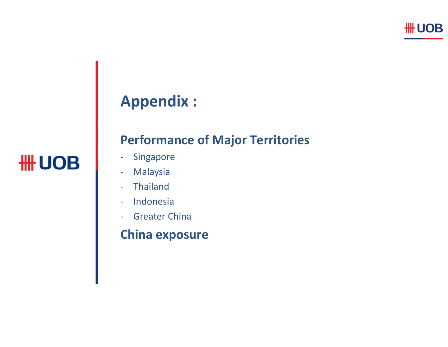# **Appendix :**

# **HH UOB**

#### **Performance of Major Territories**

- $\equiv$ Singapore
- $\blacksquare$ Malaysia
- ‐- Thailand
- ‐- Indonesia
- ‐ Greater China

#### **China exposure**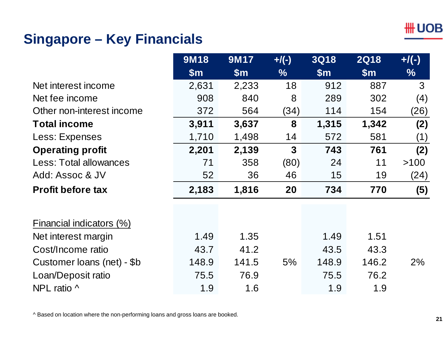#### **HH UOB**

#### **Singapore – Key Financials**

|                            | <b>9M18</b>   | <b>9M17</b>   | $+$ /(-)      | <b>3Q18</b> | <b>2Q18</b> | $+$ /(-) |
|----------------------------|---------------|---------------|---------------|-------------|-------------|----------|
|                            | $\mathsf{Sm}$ | $\mathsf{Sm}$ | $\frac{9}{6}$ | \$m\$       | \$m\$       | $\%$     |
| Net interest income        | 2,631         | 2,233         | 18            | 912         | 887         | 3        |
| Net fee income             | 908           | 840           | 8             | 289         | 302         | (4)      |
| Other non-interest income  | 372           | 564           | (34)          | 114         | 154         | (26)     |
| <b>Total income</b>        | 3,911         | 3,637         | 8             | 1,315       | 1,342       | (2)      |
| Less: Expenses             | 1,710         | 1,498         | 14            | 572         | 581         | (1)      |
| <b>Operating profit</b>    | 2,201         | 2,139         | 3             | 743         | 761         | (2)      |
| Less: Total allowances     | 71            | 358           | (80)          | 24          | 11          | >100     |
| Add: Assoc & JV            | 52            | 36            | 46            | 15          | 19          | (24)     |
| <b>Profit before tax</b>   | 2,183         | 1,816         | 20            | 734         | 770         | (5)      |
|                            |               |               |               |             |             |          |
| Financial indicators (%)   |               |               |               |             |             |          |
| Net interest margin        | 1.49          | 1.35          |               | 1.49        | 1.51        |          |
| Cost/Income ratio          | 43.7          | 41.2          |               | 43.5        | 43.3        |          |
| Customer loans (net) - \$b | 148.9         | 141.5         | 5%            | 148.9       | 146.2       | 2%       |
| Loan/Deposit ratio         | 75.5          | 76.9          |               | 75.5        | 76.2        |          |
| NPL ratio ^                | 1.9           | 1.6           |               | 1.9         | 1.9         |          |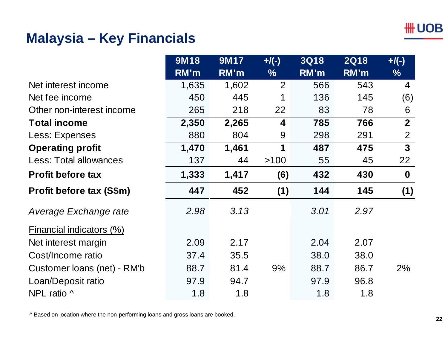#### **Malaysia – Key Financials**

|                                 | <b>9M18</b> | <b>9M17</b> | $+$ /(-)       | <b>3Q18</b> | <b>2Q18</b> | $+$ /(-)         |
|---------------------------------|-------------|-------------|----------------|-------------|-------------|------------------|
|                                 | RM'm        | RM'm        | $\frac{9}{6}$  | RM'm        | RM'm        | $\frac{0}{6}$    |
| Net interest income             | 1,635       | 1,602       | $\overline{2}$ | 566         | 543         | 4                |
| Net fee income                  | 450         | 445         | 1              | 136         | 145         | (6)              |
| Other non-interest income       | 265         | 218         | 22             | 83          | 78          | 6                |
| <b>Total income</b>             | 2,350       | 2,265       | 4              | 785         | 766         | $\overline{2}$   |
| Less: Expenses                  | 880         | 804         | 9              | 298         | 291         | $\overline{2}$   |
| <b>Operating profit</b>         | 1,470       | 1,461       | 1              | 487         | 475         | 3 <sup>1</sup>   |
| Less: Total allowances          | 137         | 44          | >100           | 55          | 45          | 22               |
| <b>Profit before tax</b>        | 1,333       | 1,417       | (6)            | 432         | 430         | $\boldsymbol{0}$ |
| <b>Profit before tax (S\$m)</b> | 447         | 452         | (1)            | 144         | 145         | (1)              |
| Average Exchange rate           | 2.98        | 3.13        |                | 3.01        | 2.97        |                  |
| Financial indicators (%)        |             |             |                |             |             |                  |
| Net interest margin             | 2.09        | 2.17        |                | 2.04        | 2.07        |                  |
| Cost/Income ratio               | 37.4        | 35.5        |                | 38.0        | 38.0        |                  |
| Customer loans (net) - RM'b     | 88.7        | 81.4        | 9%             | 88.7        | 86.7        | 2%               |
| Loan/Deposit ratio              | 97.9        | 94.7        |                | 97.9        | 96.8        |                  |
| NPL ratio ^                     | 1.8         | 1.8         |                | 1.8         | 1.8         |                  |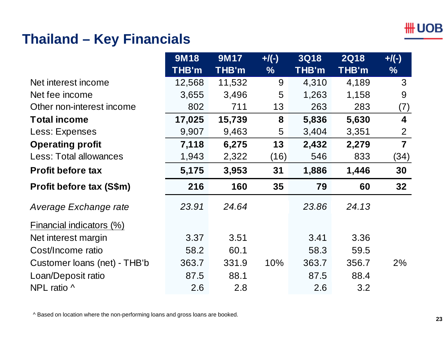#### **\# UOB**

#### **Thailand – Key Financials**

|                                 | 9M18         | 9M17         | $+$ /(-)      | <b>3Q18</b> | <b>2Q18</b> | $+$ /(-)       |
|---------------------------------|--------------|--------------|---------------|-------------|-------------|----------------|
|                                 | <b>THB'm</b> | <b>THB'm</b> | $\frac{9}{6}$ | THB'm       | THB'm       | $\frac{9}{6}$  |
| Net interest income             | 12,568       | 11,532       | 9             | 4,310       | 4,189       | 3              |
| Net fee income                  | 3,655        | 3,496        | 5             | 1,263       | 1,158       | 9              |
| Other non-interest income       | 802          | 711          | 13            | 263         | 283         | (7)            |
| <b>Total income</b>             | 17,025       | 15,739       | 8             | 5,836       | 5,630       | 4              |
| Less: Expenses                  | 9,907        | 9,463        | 5             | 3,404       | 3,351       | 2              |
| <b>Operating profit</b>         | 7,118        | 6,275        | 13            | 2,432       | 2,279       | $\overline{7}$ |
| <b>Less: Total allowances</b>   | 1,943        | 2,322        | (16)          | 546         | 833         | (34)           |
| <b>Profit before tax</b>        | 5,175        | 3,953        | 31            | 1,886       | 1,446       | 30             |
| <b>Profit before tax (S\$m)</b> | 216          | 160          | 35            | 79          | 60          | 32             |
| Average Exchange rate           | 23.91        | 24.64        |               | 23.86       | 24.13       |                |
| Financial indicators (%)        |              |              |               |             |             |                |
| Net interest margin             | 3.37         | 3.51         |               | 3.41        | 3.36        |                |
| Cost/Income ratio               | 58.2         | 60.1         |               | 58.3        | 59.5        |                |
| Customer loans (net) - THB'b    | 363.7        | 331.9        | 10%           | 363.7       | 356.7       | $2\%$          |
| Loan/Deposit ratio              | 87.5         | 88.1         |               | 87.5        | 88.4        |                |
| NPL ratio ^                     | 2.6          | 2.8          |               | 2.6         | 3.2         |                |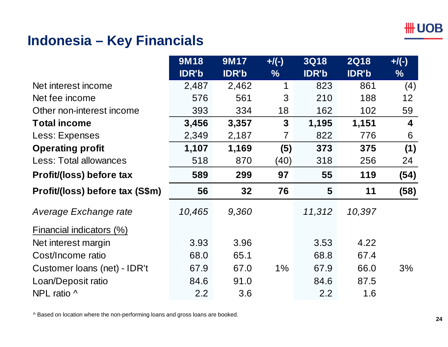#### **Indonesia – Key Financials**

|                                 | <b>9M18</b>  | 9M17         | $+$ /(-)       | <b>3Q18</b>  | <b>2Q18</b>  | $+$ /(-) |
|---------------------------------|--------------|--------------|----------------|--------------|--------------|----------|
|                                 | <b>IDR'b</b> | <b>IDR'b</b> | $\frac{9}{6}$  | <b>IDR'b</b> | <b>IDR'b</b> | $\%$     |
| Net interest income             | 2,487        | 2,462        | 1              | 823          | 861          | (4)      |
| Net fee income                  | 576          | 561          | 3              | 210          | 188          | 12       |
| Other non-interest income       | 393          | 334          | 18             | 162          | 102          | 59       |
| <b>Total income</b>             | 3,456        | 3,357        | $\mathbf{3}$   | 1,195        | 1,151        | 4        |
| Less: Expenses                  | 2,349        | 2,187        | $\overline{7}$ | 822          | 776          | 6        |
| <b>Operating profit</b>         | 1,107        | 1,169        | (5)            | 373          | 375          | (1)      |
| <b>Less: Total allowances</b>   | 518          | 870          | (40)           | 318          | 256          | 24       |
| Profit/(loss) before tax        | 589          | 299          | 97             | 55           | 119          | (54)     |
| Profit/(loss) before tax (S\$m) | 56           | 32           | 76             | 5            | 11           | (58)     |
| Average Exchange rate           | 10,465       | 9,360        |                | 11,312       | 10,397       |          |
| Financial indicators (%)        |              |              |                |              |              |          |
| Net interest margin             | 3.93         | 3.96         |                | 3.53         | 4.22         |          |
| Cost/Income ratio               | 68.0         | 65.1         |                | 68.8         | 67.4         |          |
| Customer loans (net) - IDR't    | 67.9         | 67.0         | $1\%$          | 67.9         | 66.0         | 3%       |
| Loan/Deposit ratio              | 84.6         | 91.0         |                | 84.6         | 87.5         |          |
| NPL ratio ^                     | 2.2          | 3.6          |                | 2.2          | 1.6          |          |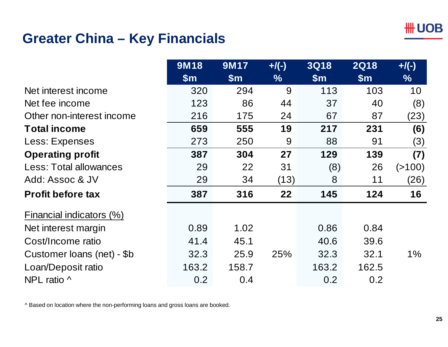

# **Greater China – Key Financials**

|                            | <b>9M18</b>   | <b>9M17</b> | $+$ /(-) | <b>3Q18</b> | <b>2Q18</b> | $+$ /(-) |
|----------------------------|---------------|-------------|----------|-------------|-------------|----------|
|                            | $\mathsf{Sm}$ | \$m\$       | $\%$     | \$m\$       | \$m\$       | $\%$     |
| Net interest income        | 320           | 294         | 9        | 113         | 103         | 10       |
| Net fee income             | 123           | 86          | 44       | 37          | 40          | (8)      |
| Other non-interest income  | 216           | 175         | 24       | 67          | 87          | (23)     |
| <b>Total income</b>        | 659           | 555         | 19       | 217         | 231         | (6)      |
| Less: Expenses             | 273           | 250         | 9        | 88          | 91          | (3)      |
| <b>Operating profit</b>    | 387           | 304         | 27       | 129         | 139         | (7)      |
| Less: Total allowances     | 29            | 22          | 31       | (8)         | 26          | ( > 100) |
| Add: Assoc & JV            | 29            | 34          | (13)     | 8           | 11          | (26)     |
| <b>Profit before tax</b>   | 387           | 316         | 22       | 145         | 124         | 16       |
| Financial indicators (%)   |               |             |          |             |             |          |
| Net interest margin        | 0.89          | 1.02        |          | 0.86        | 0.84        |          |
| Cost/Income ratio          | 41.4          | 45.1        |          | 40.6        | 39.6        |          |
| Customer loans (net) - \$b | 32.3          | 25.9        | 25%      | 32.3        | 32.1        | $1\%$    |
| Loan/Deposit ratio         | 163.2         | 158.7       |          | 163.2       | 162.5       |          |
| NPL ratio $\wedge$         | 0.2           | 0.4         |          | 0.2         | 0.2         |          |